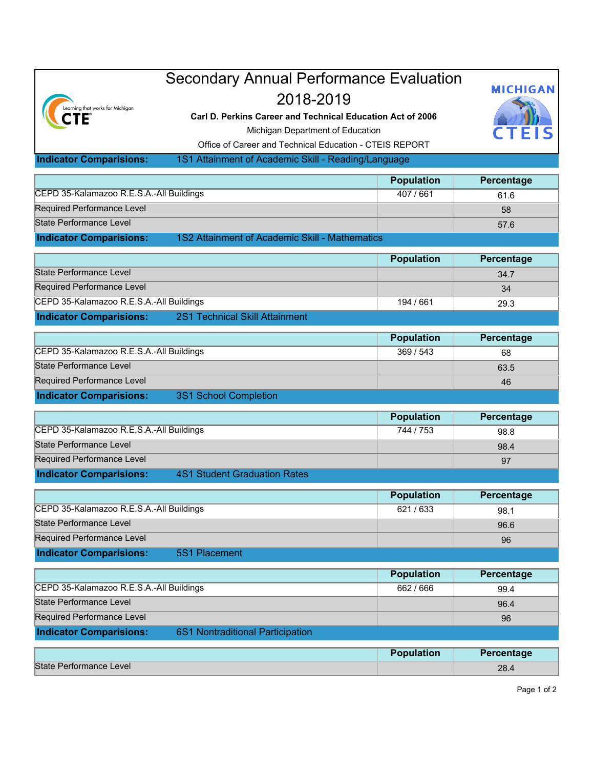| Learning that works for Michigan<br>CTE                                               | <b>Secondary Annual Performance Evaluation</b><br>2018-2019<br>Carl D. Perkins Career and Technical Education Act of 2006<br>Michigan Department of Education<br>Office of Career and Technical Education - CTEIS REPORT |                   | <b>MICHIGAN</b> |  |
|---------------------------------------------------------------------------------------|--------------------------------------------------------------------------------------------------------------------------------------------------------------------------------------------------------------------------|-------------------|-----------------|--|
| <b>Indicator Comparisions:</b><br>1S1 Attainment of Academic Skill - Reading/Language |                                                                                                                                                                                                                          |                   |                 |  |
|                                                                                       |                                                                                                                                                                                                                          | <b>Population</b> | Percentage      |  |
| CEPD 35-Kalamazoo R.E.S.A.-All Buildings                                              |                                                                                                                                                                                                                          | 407 / 661         | 61.6            |  |
| <b>Required Performance Level</b>                                                     |                                                                                                                                                                                                                          |                   | 58              |  |
| <b>State Performance Level</b>                                                        |                                                                                                                                                                                                                          |                   | 57.6            |  |
| <b>Indicator Comparisions:</b>                                                        | 1S2 Attainment of Academic Skill - Mathematics                                                                                                                                                                           |                   |                 |  |
|                                                                                       |                                                                                                                                                                                                                          | <b>Population</b> | Percentage      |  |
| State Performance Level                                                               |                                                                                                                                                                                                                          |                   | 34.7            |  |
| <b>Required Performance Level</b>                                                     |                                                                                                                                                                                                                          |                   | 34              |  |
| CEPD 35-Kalamazoo R.E.S.A.-All Buildings                                              |                                                                                                                                                                                                                          | 194 / 661         | 29.3            |  |
| <b>Indicator Comparisions:</b>                                                        | 2S1 Technical Skill Attainment                                                                                                                                                                                           |                   |                 |  |
|                                                                                       |                                                                                                                                                                                                                          | <b>Population</b> | Percentage      |  |
| CEPD 35-Kalamazoo R.E.S.A.-All Buildings                                              |                                                                                                                                                                                                                          | 369 / 543         | 68              |  |
| <b>State Performance Level</b>                                                        |                                                                                                                                                                                                                          |                   | 63.5            |  |
| Required Performance Level                                                            |                                                                                                                                                                                                                          |                   | 46              |  |
| <b>Indicator Comparisions:</b>                                                        | 3S1 School Completion                                                                                                                                                                                                    |                   |                 |  |
|                                                                                       |                                                                                                                                                                                                                          | <b>Population</b> | Percentage      |  |
| CEPD 35-Kalamazoo R.E.S.A.-All Buildings                                              |                                                                                                                                                                                                                          | 744 / 753         | 98.8            |  |
| State Performance Level                                                               |                                                                                                                                                                                                                          |                   | 98.4            |  |
| Required Performance Level                                                            |                                                                                                                                                                                                                          |                   | 97              |  |
| <b>Indicator Comparisions:</b>                                                        | <b>4S1 Student Graduation Rates</b>                                                                                                                                                                                      |                   |                 |  |
|                                                                                       |                                                                                                                                                                                                                          | <b>Population</b> | Percentage      |  |
| CEPD 35-Kalamazoo R.E.S.A.-All Buildings                                              |                                                                                                                                                                                                                          | 621/633           | 98.1            |  |
| <b>State Performance Level</b>                                                        |                                                                                                                                                                                                                          |                   | 96.6            |  |
| Required Performance Level                                                            |                                                                                                                                                                                                                          |                   | 96              |  |
| <b>Indicator Comparisions:</b>                                                        | <b>5S1 Placement</b>                                                                                                                                                                                                     |                   |                 |  |
|                                                                                       |                                                                                                                                                                                                                          |                   |                 |  |
|                                                                                       |                                                                                                                                                                                                                          | <b>Population</b> | Percentage      |  |
| CEPD 35-Kalamazoo R.E.S.A.-All Buildings                                              |                                                                                                                                                                                                                          | 662 / 666         | 99.4            |  |
| <b>State Performance Level</b>                                                        |                                                                                                                                                                                                                          |                   | 96.4            |  |
| Required Performance Level                                                            |                                                                                                                                                                                                                          |                   | 96              |  |
| <b>Indicator Comparisions:</b>                                                        | 6S1 Nontraditional Participation                                                                                                                                                                                         |                   |                 |  |
|                                                                                       |                                                                                                                                                                                                                          | <b>Population</b> | Percentage      |  |
| <b>State Performance Level</b>                                                        |                                                                                                                                                                                                                          |                   | 28.4            |  |